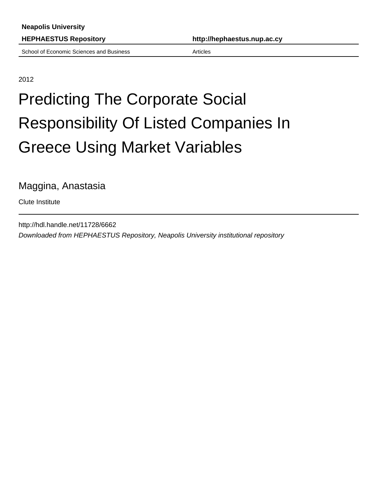School of Economic Sciences and Business **Articles** Articles

**HEPHAESTUS Repository http://hephaestus.nup.ac.cy**

2012

## Predicting The Corporate Social Responsibility Of Listed Companies In Greece Using Market Variables

Maggina, Anastasia

Clute Institute

http://hdl.handle.net/11728/6662 Downloaded from HEPHAESTUS Repository, Neapolis University institutional repository